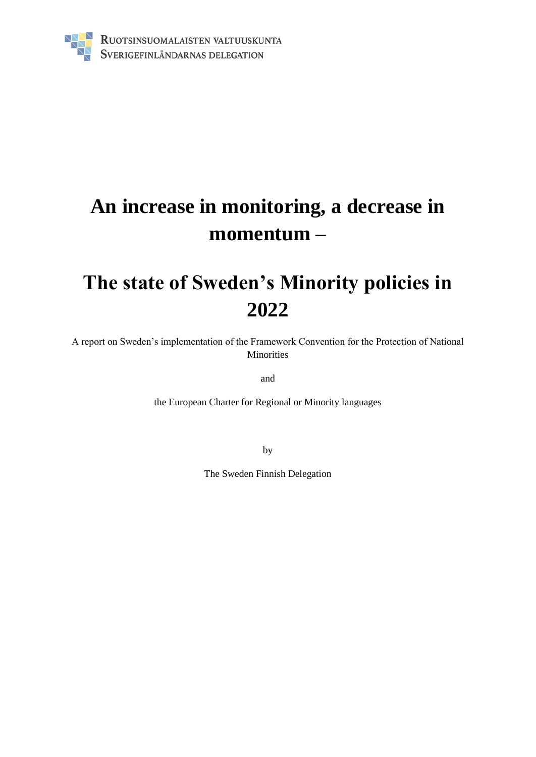

# **An increase in monitoring, a decrease in momentum –**

## **The state of Sweden's Minority policies in 2022**

A report on Sweden's implementation of the Framework Convention for the Protection of National Minorities

and

the European Charter for Regional or Minority languages

by

The Sweden Finnish Delegation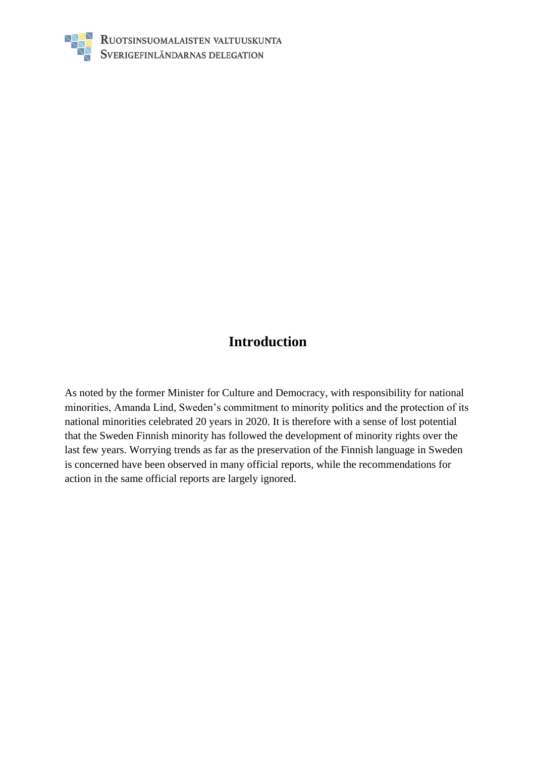

## **Introduction**

As noted by the former Minister for Culture and Democracy, with responsibility for national minorities, Amanda Lind, Sweden's commitment to minority politics and the protection of its national minorities celebrated 20 years in 2020. It is therefore with a sense of lost potential that the Sweden Finnish minority has followed the development of minority rights over the last few years. Worrying trends as far as the preservation of the Finnish language in Sweden is concerned have been observed in many official reports, while the recommendations for action in the same official reports are largely ignored.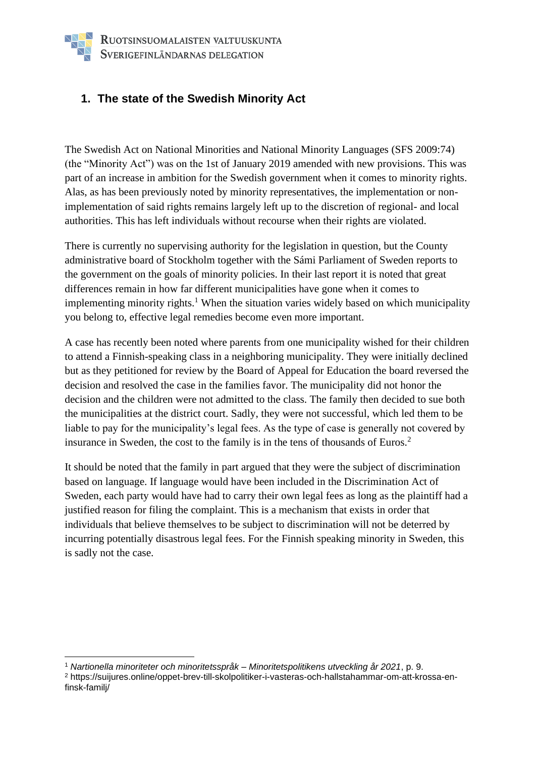#### **1. The state of the Swedish Minority Act**

The Swedish Act on National Minorities and National Minority Languages (SFS 2009:74) (the "Minority Act") was on the 1st of January 2019 amended with new provisions. This was part of an increase in ambition for the Swedish government when it comes to minority rights. Alas, as has been previously noted by minority representatives, the implementation or nonimplementation of said rights remains largely left up to the discretion of regional- and local authorities. This has left individuals without recourse when their rights are violated.

There is currently no supervising authority for the legislation in question, but the County administrative board of Stockholm together with the Sámi Parliament of Sweden reports to the government on the goals of minority policies. In their last report it is noted that great differences remain in how far different municipalities have gone when it comes to implementing minority rights.<sup>1</sup> When the situation varies widely based on which municipality you belong to, effective legal remedies become even more important.

A case has recently been noted where parents from one municipality wished for their children to attend a Finnish-speaking class in a neighboring municipality. They were initially declined but as they petitioned for review by the Board of Appeal for Education the board reversed the decision and resolved the case in the families favor. The municipality did not honor the decision and the children were not admitted to the class. The family then decided to sue both the municipalities at the district court. Sadly, they were not successful, which led them to be liable to pay for the municipality's legal fees. As the type of case is generally not covered by insurance in Sweden, the cost to the family is in the tens of thousands of Euros.<sup>2</sup>

It should be noted that the family in part argued that they were the subject of discrimination based on language. If language would have been included in the Discrimination Act of Sweden, each party would have had to carry their own legal fees as long as the plaintiff had a justified reason for filing the complaint. This is a mechanism that exists in order that individuals that believe themselves to be subject to discrimination will not be deterred by incurring potentially disastrous legal fees. For the Finnish speaking minority in Sweden, this is sadly not the case.

<sup>1</sup> *Nartionella minoriteter och minoritetsspråk – Minoritetspolitikens utveckling år 2021*, p. 9. <sup>2</sup> https://suijures.online/oppet-brev-till-skolpolitiker-i-vasteras-och-hallstahammar-om-att-krossa-enfinsk-familj/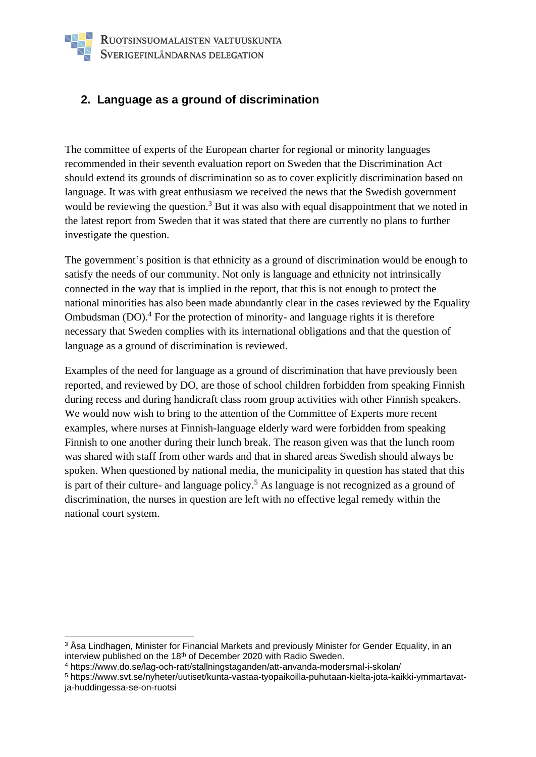#### **2. Language as a ground of discrimination**

The committee of experts of the European charter for regional or minority languages recommended in their seventh evaluation report on Sweden that the Discrimination Act should extend its grounds of discrimination so as to cover explicitly discrimination based on language. It was with great enthusiasm we received the news that the Swedish government would be reviewing the question.<sup>3</sup> But it was also with equal disappointment that we noted in the latest report from Sweden that it was stated that there are currently no plans to further investigate the question.

The government's position is that ethnicity as a ground of discrimination would be enough to satisfy the needs of our community. Not only is language and ethnicity not intrinsically connected in the way that is implied in the report, that this is not enough to protect the national minorities has also been made abundantly clear in the cases reviewed by the Equality Ombudsman  $(DO)^4$ . For the protection of minority- and language rights it is therefore necessary that Sweden complies with its international obligations and that the question of language as a ground of discrimination is reviewed.

Examples of the need for language as a ground of discrimination that have previously been reported, and reviewed by DO, are those of school children forbidden from speaking Finnish during recess and during handicraft class room group activities with other Finnish speakers. We would now wish to bring to the attention of the Committee of Experts more recent examples, where nurses at Finnish-language elderly ward were forbidden from speaking Finnish to one another during their lunch break. The reason given was that the lunch room was shared with staff from other wards and that in shared areas Swedish should always be spoken. When questioned by national media, the municipality in question has stated that this is part of their culture- and language policy.<sup>5</sup> As language is not recognized as a ground of discrimination, the nurses in question are left with no effective legal remedy within the national court system.

<sup>&</sup>lt;sup>3</sup> Åsa Lindhagen, Minister for Financial Markets and previously Minister for Gender Equality, in an interview published on the 18<sup>th</sup> of December 2020 with Radio Sweden.

<sup>4</sup> https://www.do.se/lag-och-ratt/stallningstaganden/att-anvanda-modersmal-i-skolan/

<sup>5</sup> https://www.svt.se/nyheter/uutiset/kunta-vastaa-tyopaikoilla-puhutaan-kielta-jota-kaikki-ymmartavatja-huddingessa-se-on-ruotsi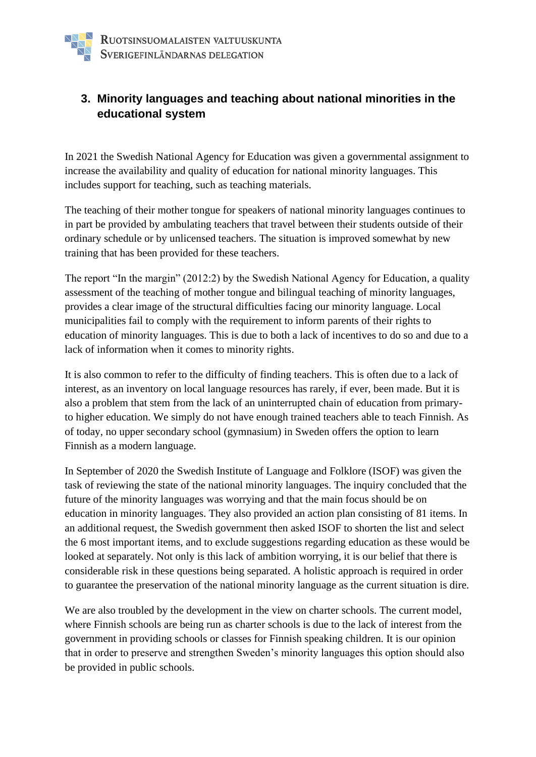### **3. Minority languages and teaching about national minorities in the educational system**

In 2021 the Swedish National Agency for Education was given a governmental assignment to increase the availability and quality of education for national minority languages. This includes support for teaching, such as teaching materials.

The teaching of their mother tongue for speakers of national minority languages continues to in part be provided by ambulating teachers that travel between their students outside of their ordinary schedule or by unlicensed teachers. The situation is improved somewhat by new training that has been provided for these teachers.

The report "In the margin" (2012:2) by the Swedish National Agency for Education, a quality assessment of the teaching of mother tongue and bilingual teaching of minority languages, provides a clear image of the structural difficulties facing our minority language. Local municipalities fail to comply with the requirement to inform parents of their rights to education of minority languages. This is due to both a lack of incentives to do so and due to a lack of information when it comes to minority rights.

It is also common to refer to the difficulty of finding teachers. This is often due to a lack of interest, as an inventory on local language resources has rarely, if ever, been made. But it is also a problem that stem from the lack of an uninterrupted chain of education from primaryto higher education. We simply do not have enough trained teachers able to teach Finnish. As of today, no upper secondary school (gymnasium) in Sweden offers the option to learn Finnish as a modern language.

In September of 2020 the Swedish Institute of Language and Folklore (ISOF) was given the task of reviewing the state of the national minority languages. The inquiry concluded that the future of the minority languages was worrying and that the main focus should be on education in minority languages. They also provided an action plan consisting of 81 items. In an additional request, the Swedish government then asked ISOF to shorten the list and select the 6 most important items, and to exclude suggestions regarding education as these would be looked at separately. Not only is this lack of ambition worrying, it is our belief that there is considerable risk in these questions being separated. A holistic approach is required in order to guarantee the preservation of the national minority language as the current situation is dire.

We are also troubled by the development in the view on charter schools. The current model, where Finnish schools are being run as charter schools is due to the lack of interest from the government in providing schools or classes for Finnish speaking children. It is our opinion that in order to preserve and strengthen Sweden's minority languages this option should also be provided in public schools.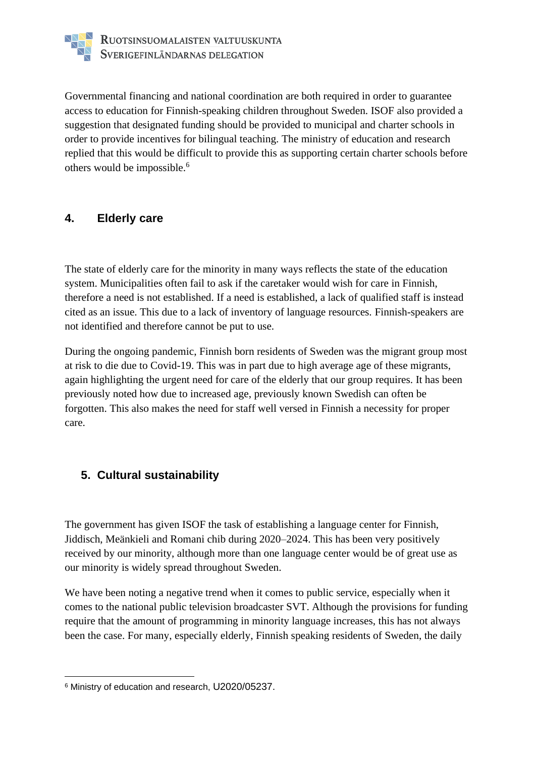

Governmental financing and national coordination are both required in order to guarantee access to education for Finnish-speaking children throughout Sweden. ISOF also provided a suggestion that designated funding should be provided to municipal and charter schools in order to provide incentives for bilingual teaching. The ministry of education and research replied that this would be difficult to provide this as supporting certain charter schools before others would be impossible.<sup>6</sup>

#### **4. Elderly care**

The state of elderly care for the minority in many ways reflects the state of the education system. Municipalities often fail to ask if the caretaker would wish for care in Finnish, therefore a need is not established. If a need is established, a lack of qualified staff is instead cited as an issue. This due to a lack of inventory of language resources. Finnish-speakers are not identified and therefore cannot be put to use.

During the ongoing pandemic, Finnish born residents of Sweden was the migrant group most at risk to die due to Covid-19. This was in part due to high average age of these migrants, again highlighting the urgent need for care of the elderly that our group requires. It has been previously noted how due to increased age, previously known Swedish can often be forgotten. This also makes the need for staff well versed in Finnish a necessity for proper care.

#### **5. Cultural sustainability**

The government has given ISOF the task of establishing a language center for Finnish, Jiddisch, Meänkieli and Romani chib during 2020–2024. This has been very positively received by our minority, although more than one language center would be of great use as our minority is widely spread throughout Sweden.

We have been noting a negative trend when it comes to public service, especially when it comes to the national public television broadcaster SVT. Although the provisions for funding require that the amount of programming in minority language increases, this has not always been the case. For many, especially elderly, Finnish speaking residents of Sweden, the daily

<sup>6</sup> Ministry of education and research, U2020/05237.